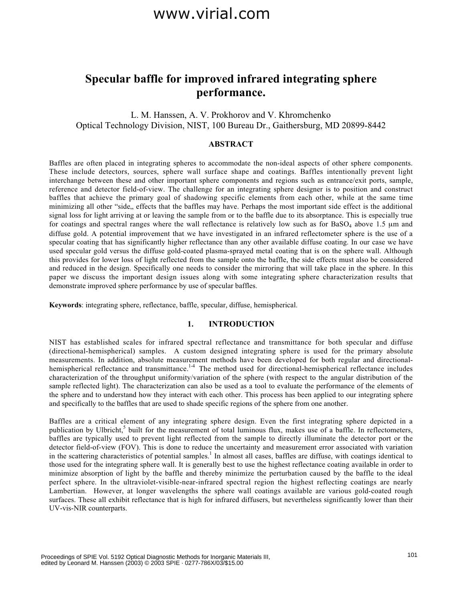### **Specular baffle for improved infrared integrating sphere performance.**

L. M. Hanssen, A. V. Prokhorov and V. Khromchenko Optical Technology Division, NIST, 100 Bureau Dr., Gaithersburg, MD 20899-8442

#### **ABSTRACT**

Baffles are often placed in integrating spheres to accommodate the non-ideal aspects of other sphere components. These include detectors, sources, sphere wall surface shape and coatings. Baffles intentionally prevent light interchange between these and other important sphere components and regions such as entrance/exit ports, sample, reference and detector field-of-view. The challenge for an integrating sphere designer is to position and construct baffles that achieve the primary goal of shadowing specific elements from each other, while at the same time minimizing all other "side, effects that the baffles may have. Perhaps the most important side effect is the additional signal loss for light arriving at or leaving the sample from or to the baffle due to its absorptance. This is especially true for coatings and spectral ranges where the wall reflectance is relatively low such as for BaSO<sub>4</sub> above 1.5 µm and diffuse gold. A potential improvement that we have investigated in an infrared reflectometer sphere is the use of a specular coating that has significantly higher reflectance than any other available diffuse coating. In our case we have used specular gold versus the diffuse gold-coated plasma-sprayed metal coating that is on the sphere wall. Although this provides for lower loss of light reflected from the sample onto the baffle, the side effects must also be considered and reduced in the design. Specifically one needs to consider the mirroring that will take place in the sphere. In this paper we discuss the important design issues along with some integrating sphere characterization results that demonstrate improved sphere performance by use of specular baffles.

**Keywords**: integrating sphere, reflectance, baffle, specular, diffuse, hemispherical.

#### **1. INTRODUCTION**

NIST has established scales for infrared spectral reflectance and transmittance for both specular and diffuse (directional-hemispherical) samples. A custom designed integrating sphere is used for the primary absolute measurements. In addition, absolute measurement methods have been developed for both regular and directionalhemispherical reflectance and transmittance.<sup>1-4</sup> The method used for directional-hemispherical reflectance includes characterization of the throughput uniformity/variation of the sphere (with respect to the angular distribution of the sample reflected light). The characterization can also be used as a tool to evaluate the performance of the elements of the sphere and to understand how they interact with each other. This process has been applied to our integrating sphere and specifically to the baffles that are used to shade specific regions of the sphere from one another.

Baffles are a critical element of any integrating sphere design. Even the first integrating sphere depicted in a publication by Ulbricht,<sup>5</sup> built for the measurement of total luminous flux, makes use of a baffle. In reflectometers, baffles are typically used to prevent light reflected from the sample to directly illuminate the detector port or the detector field-of-view (FOV). This is done to reduce the uncertainty and measurement error associated with variation in the scattering characteristics of potential samples.<sup>1</sup> In almost all cases, baffles are diffuse, with coatings identical to those used for the integrating sphere wall. It is generally best to use the highest reflectance coating available in order to minimize absorption of light by the baffle and thereby minimize the perturbation caused by the baffle to the ideal perfect sphere. In the ultraviolet-visible-near-infrared spectral region the highest reflecting coatings are nearly Lambertian. However, at longer wavelengths the sphere wall coatings available are various gold-coated rough surfaces. These all exhibit reflectance that is high for infrared diffusers, but nevertheless significantly lower than their UV-vis-NIR counterparts.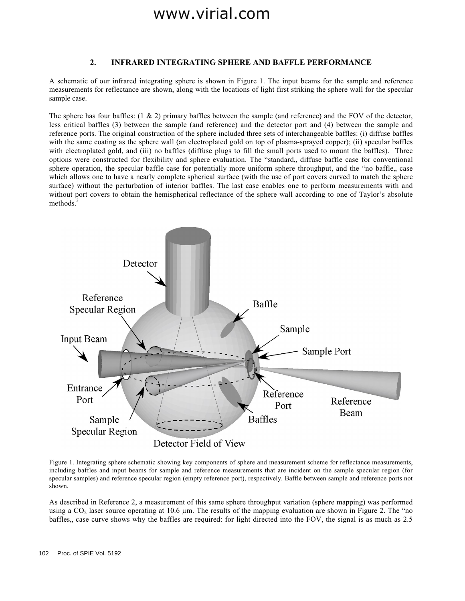### **2. INFRARED INTEGRATING SPHERE AND BAFFLE PERFORMANCE**

A schematic of our infrared integrating sphere is shown in Figure 1. The input beams for the sample and reference measurements for reflectance are shown, along with the locations of light first striking the sphere wall for the specular sample case.

The sphere has four baffles:  $(1 \& 2)$  primary baffles between the sample (and reference) and the FOV of the detector, less critical baffles (3) between the sample (and reference) and the detector port and (4) between the sample and reference ports. The original construction of the sphere included three sets of interchangeable baffles: (i) diffuse baffles with the same coating as the sphere wall (an electroplated gold on top of plasma-sprayed copper); (ii) specular baffles with electroplated gold, and (iii) no baffles (diffuse plugs to fill the small ports used to mount the baffles). Three options were constructed for flexibility and sphere evaluation. The "standard, diffuse baffle case for conventional sphere operation, the specular baffle case for potentially more uniform sphere throughput, and the "no baffle, case which allows one to have a nearly complete spherical surface (with the use of port covers curved to match the sphere surface) without the perturbation of interior baffles. The last case enables one to perform measurements with and without port covers to obtain the hemispherical reflectance of the sphere wall according to one of Taylor's absolute methods.<sup>3</sup>



Figure 1. Integrating sphere schematic showing key components of sphere and measurement scheme for reflectance measurements, including baffles and input beams for sample and reference measurements that are incident on the sample specular region (for specular samples) and reference specular region (empty reference port), respectively. Baffle between sample and reference ports not shown.

As described in Reference 2, a measurement of this same sphere throughput variation (sphere mapping) was performed using a  $CO<sub>2</sub>$  laser source operating at 10.6  $\mu$ m. The results of the mapping evaluation are shown in Figure 2. The "no baffles,, case curve shows why the baffles are required: for light directed into the FOV, the signal is as much as 2.5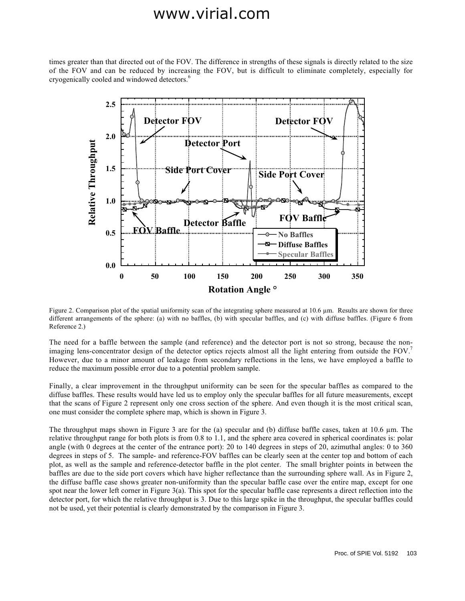times greater than that directed out of the FOV. The difference in strengths of these signals is directly related to the size of the FOV and can be reduced by increasing the FOV, but is difficult to eliminate completely, especially for cryogenically cooled and windowed detectors.<sup>6</sup>



Figure 2. Comparison plot of the spatial uniformity scan of the integrating sphere measured at 10.6 µm. Results are shown for three different arrangements of the sphere: (a) with no baffles, (b) with specular baffles, and (c) with diffuse baffles. (Figure 6 from Reference 2.)

The need for a baffle between the sample (and reference) and the detector port is not so strong, because the nonimaging lens-concentrator design of the detector optics rejects almost all the light entering from outside the FOV.<sup>7</sup> However, due to a minor amount of leakage from secondary reflections in the lens, we have employed a baffle to reduce the maximum possible error due to a potential problem sample.

Finally, a clear improvement in the throughput uniformity can be seen for the specular baffles as compared to the diffuse baffles. These results would have led us to employ only the specular baffles for all future measurements, except that the scans of Figure 2 represent only one cross section of the sphere. And even though it is the most critical scan, one must consider the complete sphere map, which is shown in Figure 3.

The throughput maps shown in Figure 3 are for the (a) specular and (b) diffuse baffle cases, taken at 10.6 µm. The relative throughput range for both plots is from 0.8 to 1.1, and the sphere area covered in spherical coordinates is: polar angle (with 0 degrees at the center of the entrance port): 20 to 140 degrees in steps of 20, azimuthal angles: 0 to 360 degrees in steps of 5. The sample- and reference-FOV baffles can be clearly seen at the center top and bottom of each plot, as well as the sample and reference-detector baffle in the plot center. The small brighter points in between the baffles are due to the side port covers which have higher reflectance than the surrounding sphere wall. As in Figure 2, the diffuse baffle case shows greater non-uniformity than the specular baffle case over the entire map, except for one spot near the lower left corner in Figure 3(a). This spot for the specular baffle case represents a direct reflection into the detector port, for which the relative throughput is 3. Due to this large spike in the throughput, the specular baffles could not be used, yet their potential is clearly demonstrated by the comparison in Figure 3.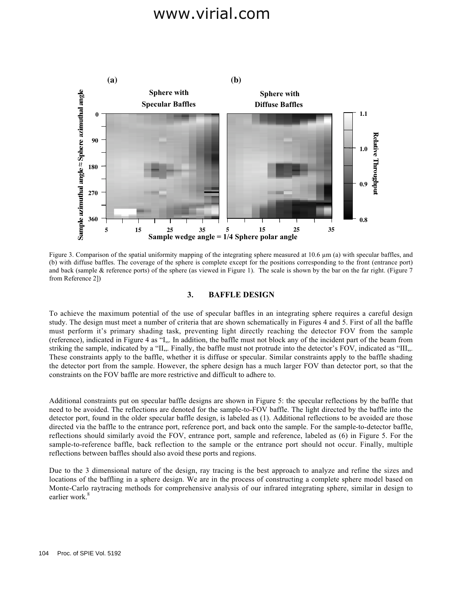

Figure 3. Comparison of the spatial uniformity mapping of the integrating sphere measured at 10.6 µm (a) with specular baffles, and (b) with diffuse baffles. The coverage of the sphere is complete except for the positions corresponding to the front (entrance port) and back (sample & reference ports) of the sphere (as viewed in Figure 1). The scale is shown by the bar on the far right. (Figure 7 from Reference 2])

#### **3. BAFFLE DESIGN**

To achieve the maximum potential of the use of specular baffles in an integrating sphere requires a careful design study. The design must meet a number of criteria that are shown schematically in Figures 4 and 5. First of all the baffle must perform it's primary shading task, preventing light directly reaching the detector FOV from the sample (reference), indicated in Figure 4 as "I<sub>n</sub>. In addition, the baffle must not block any of the incident part of the beam from striking the sample, indicated by a "II, Finally, the baffle must not protrude into the detector's FOV, indicated as "III,.. These constraints apply to the baffle, whether it is diffuse or specular. Similar constraints apply to the baffle shading the detector port from the sample. However, the sphere design has a much larger FOV than detector port, so that the constraints on the FOV baffle are more restrictive and difficult to adhere to.

Additional constraints put on specular baffle designs are shown in Figure 5: the specular reflections by the baffle that need to be avoided. The reflections are denoted for the sample-to-FOV baffle. The light directed by the baffle into the detector port, found in the older specular baffle design, is labeled as (1). Additional reflections to be avoided are those directed via the baffle to the entrance port, reference port, and back onto the sample. For the sample-to-detector baffle, reflections should similarly avoid the FOV, entrance port, sample and reference, labeled as (6) in Figure 5. For the sample-to-reference baffle, back reflection to the sample or the entrance port should not occur. Finally, multiple reflections between baffles should also avoid these ports and regions.

Due to the 3 dimensional nature of the design, ray tracing is the best approach to analyze and refine the sizes and locations of the baffling in a sphere design. We are in the process of constructing a complete sphere model based on Monte-Carlo raytracing methods for comprehensive analysis of our infrared integrating sphere, similar in design to earlier work.<sup>8</sup>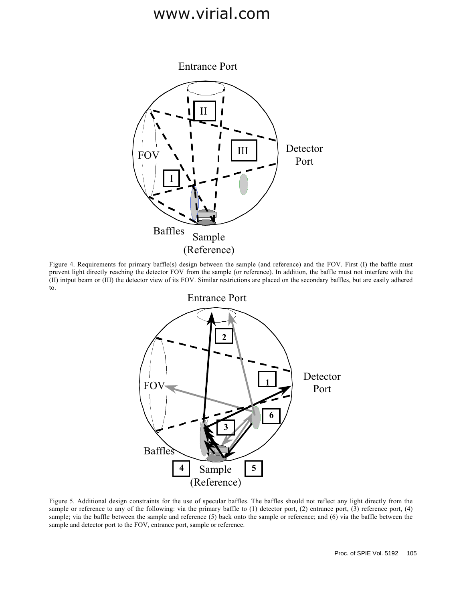

Figure 4. Requirements for primary baffle(s) design between the sample (and reference) and the FOV. First (I) the baffle must prevent light directly reaching the detector FOV from the sample (or reference). In addition, the baffle must not interfere with the (II) intput beam or (III) the detector view of its FOV. Similar restrictions are placed on the secondary baffles, but are easily adhered to.



Figure 5. Additional design constraints for the use of specular baffles. The baffles should not reflect any light directly from the sample or reference to any of the following: via the primary baffle to (1) detector port, (2) entrance port, (3) reference port, (4) sample; via the baffle between the sample and reference (5) back onto the sample or reference; and (6) via the baffle between the sample and detector port to the FOV, entrance port, sample or reference.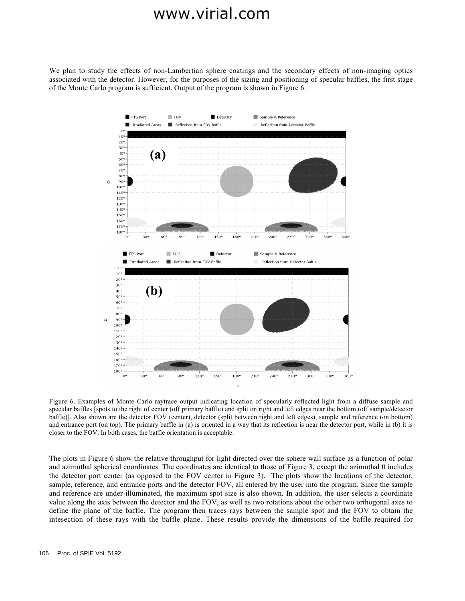We plan to study the effects of non-Lambertian sphere coatings and the secondary effects of non-imaging optics associated with the detector. However, for the purposes of the sizing and positioning of specular baffles, the first stage of the Monte Carlo program is sufficient. Output of the program is shown in Figure 6.



Figure 6. Examples of Monte Carlo raytrace output indicating location of specularly reflected light from a diffuse sample and specular baffles [spots to the right of center (off primary baffle) and split on right and left edges near the bottom (off sample/detector baffle)]. Also shown are the detector FOV (center), detector (split between right and left edges), sample and reference (on bottom) and entrance port (on top). The primary baffle in (a) is oriented in a way that its reflection is near the detector port, while in (b) it is closer to the FOV. In both cases, the baffle orientation is acceptable.

The plots in Figure 6 show the relative throughput for light directed over the sphere wall surface as a function of polar and azimuthal spherical coordinates. The coordinates are identical to those of Figure 3, except the azimuthal 0 includes the detector port center (as opposed to the FOV center in Figure 3). The plots show the locations of the detector, sample, reference, and entrance ports and the detector FOV, all entered by the user into the program. Since the sample and reference are under-illuminated, the maximum spot size is also shown. In addition, the user selects a coordinate value along the axis between the detector and the FOV, as well as two rotations about the other two orthogonal axes to define the plane of the baffle. The program then traces rays between the sample spot and the FOV to obtain the intesection of these rays with the baffle plane. These results provide the dimensions of the baffle required for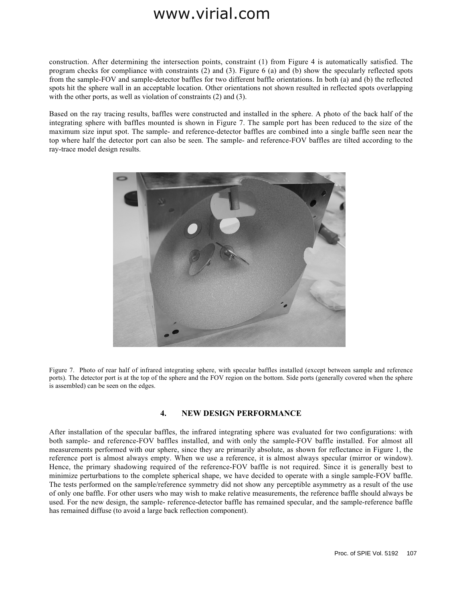construction. After determining the intersection points, constraint (1) from Figure 4 is automatically satisfied. The program checks for compliance with constraints (2) and (3). Figure 6 (a) and (b) show the specularly reflected spots from the sample-FOV and sample-detector baffles for two different baffle orientations. In both (a) and (b) the reflected spots hit the sphere wall in an acceptable location. Other orientations not shown resulted in reflected spots overlapping with the other ports, as well as violation of constraints (2) and (3).

Based on the ray tracing results, baffles were constructed and installed in the sphere. A photo of the back half of the integrating sphere with baffles mounted is shown in Figure 7. The sample port has been reduced to the size of the maximum size input spot. The sample- and reference-detector baffles are combined into a single baffle seen near the top where half the detector port can also be seen. The sample- and reference-FOV baffles are tilted according to the ray-trace model design results.



Figure 7. Photo of rear half of infrared integrating sphere, with specular baffles installed (except between sample and reference ports). The detector port is at the top of the sphere and the FOV region on the bottom. Side ports (generally covered when the sphere is assembled) can be seen on the edges.

### **4. NEW DESIGN PERFORMANCE**

After installation of the specular baffles, the infrared integrating sphere was evaluated for two configurations: with both sample- and reference-FOV baffles installed, and with only the sample-FOV baffle installed. For almost all measurements performed with our sphere, since they are primarily absolute, as shown for reflectance in Figure 1, the reference port is almost always empty. When we use a reference, it is almost always specular (mirror or window). Hence, the primary shadowing required of the reference-FOV baffle is not required. Since it is generally best to minimize perturbations to the complete spherical shape, we have decided to operate with a single sample-FOV baffle. The tests performed on the sample/reference symmetry did not show any perceptible asymmetry as a result of the use of only one baffle. For other users who may wish to make relative measurements, the reference baffle should always be used. For the new design, the sample- reference-detector baffle has remained specular, and the sample-reference baffle has remained diffuse (to avoid a large back reflection component).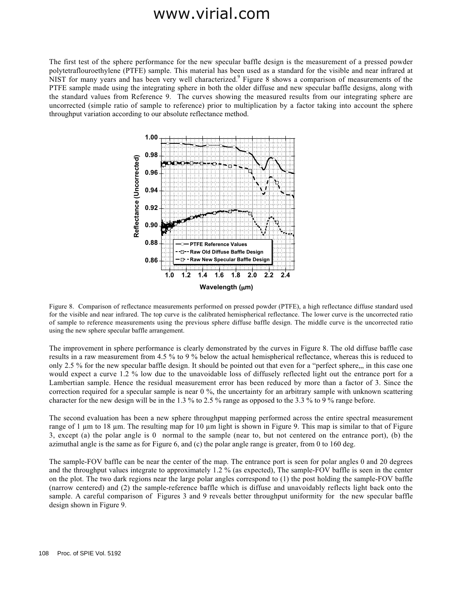The first test of the sphere performance for the new specular baffle design is the measurement of a pressed powder polytetraflouroethylene (PTFE) sample. This material has been used as a standard for the visible and near infrared at NIST for many years and has been very well characterized.<sup>9</sup> Figure 8 shows a comparison of measurements of the PTFE sample made using the integrating sphere in both the older diffuse and new specular baffle designs, along with the standard values from Reference 9. The curves showing the measured results from our integrating sphere are uncorrected (simple ratio of sample to reference) prior to multiplication by a factor taking into account the sphere throughput variation according to our absolute reflectance method.



Figure 8. Comparison of reflectance measurements performed on pressed powder (PTFE), a high reflectance diffuse standard used for the visible and near infrared. The top curve is the calibrated hemispherical reflectance. The lower curve is the uncorrected ratio of sample to reference measurements using the previous sphere diffuse baffle design. The middle curve is the uncorrected ratio using the new sphere specular baffle arrangement.

The improvement in sphere performance is clearly demonstrated by the curves in Figure 8. The old diffuse baffle case results in a raw measurement from 4.5 % to 9 % below the actual hemispherical reflectance, whereas this is reduced to only 2.5 % for the new specular baffle design. It should be pointed out that even for a "perfect sphere,,, in this case one would expect a curve 1.2 % low due to the unavoidable loss of diffusely reflected light out the entrance port for a Lambertian sample. Hence the residual measurement error has been reduced by more than a factor of 3. Since the correction required for a specular sample is near 0 %, the uncertainty for an arbitrary sample with unknown scattering character for the new design will be in the 1.3 % to 2.5 % range as opposed to the 3.3 % to 9 % range before.

The second evaluation has been a new sphere throughput mapping performed across the entire spectral measurement range of 1  $\mu$ m to 18  $\mu$ m. The resulting map for 10  $\mu$ m light is shown in Figure 9. This map is similar to that of Figure 3, except (a) the polar angle is 0 normal to the sample (near to, but not centered on the entrance port), (b) the azimuthal angle is the same as for Figure 6, and (c) the polar angle range is greater, from 0 to 160 deg.

The sample-FOV baffle can be near the center of the map. The entrance port is seen for polar angles 0 and 20 degrees and the throughput values integrate to approximately 1.2 % (as expected), The sample-FOV baffle is seen in the center on the plot. The two dark regions near the large polar angles correspond to (1) the post holding the sample-FOV baffle (narrow centered) and (2) the sample-reference baffle which is diffuse and unavoidably reflects light back onto the sample. A careful comparison of Figures 3 and 9 reveals better throughput uniformity for the new specular baffle design shown in Figure 9.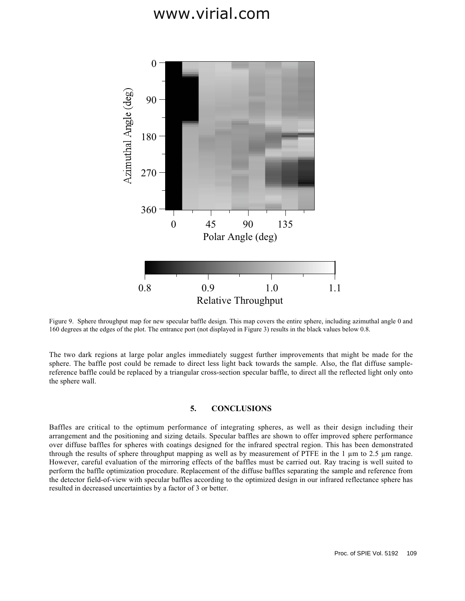

Figure 9. Sphere throughput map for new specular baffle design. This map covers the entire sphere, including azimuthal angle 0 and 160 degrees at the edges of the plot. The entrance port (not displayed in Figure 3) results in the black values below 0.8.

The two dark regions at large polar angles immediately suggest further improvements that might be made for the sphere. The baffle post could be remade to direct less light back towards the sample. Also, the flat diffuse samplereference baffle could be replaced by a triangular cross-section specular baffle, to direct all the reflected light only onto the sphere wall.

### **5. CONCLUSIONS**

Baffles are critical to the optimum performance of integrating spheres, as well as their design including their arrangement and the positioning and sizing details. Specular baffles are shown to offer improved sphere performance over diffuse baffles for spheres with coatings designed for the infrared spectral region. This has been demonstrated through the results of sphere throughput mapping as well as by measurement of PTFE in the  $1 \mu m$  to  $2.5 \mu m$  range. However, careful evaluation of the mirroring effects of the baffles must be carried out. Ray tracing is well suited to perform the baffle optimization procedure. Replacement of the diffuse baffles separating the sample and reference from the detector field-of-view with specular baffles according to the optimized design in our infrared reflectance sphere has resulted in decreased uncertainties by a factor of 3 or better.